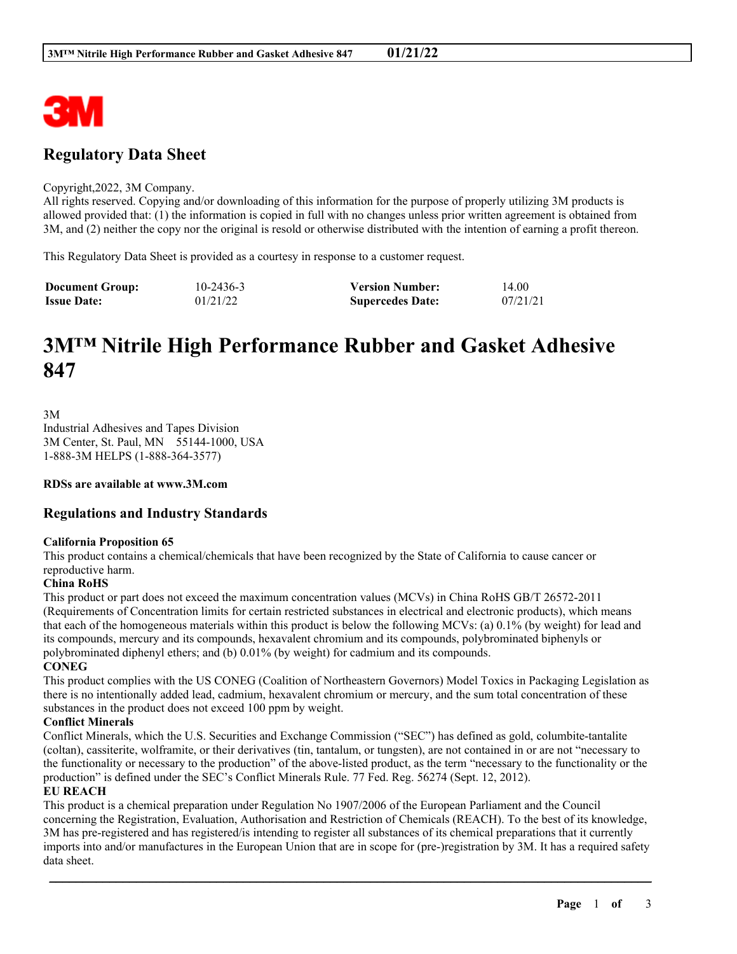

## **Regulatory Data Sheet**

#### Copyright,2022, 3M Company.

All rights reserved. Copying and/or downloading of this information for the purpose of properly utilizing 3M products is allowed provided that: (1) the information is copied in full with no changes unless prior written agreement is obtained from 3M, and (2) neither the copy nor the original is resold or otherwise distributed with the intention of earning a profit thereon.

This Regulatory Data Sheet is provided as a courtesy in response to a customer request.

| <b>Document Group:</b> | $10 - 2436 - 3$ | <b>Version Number:</b>  | 14.00    |
|------------------------|-----------------|-------------------------|----------|
| <b>Issue Date:</b>     | 01/21/22        | <b>Supercedes Date:</b> | 07/21/21 |

# **3M™ Nitrile High Performance Rubber and Gasket Adhesive 847**

3M Industrial Adhesives and Tapes Division 3M Center, St. Paul, MN 55144-1000, USA 1-888-3M HELPS (1-888-364-3577)

**RDSs are available at www.3M.com**

## **Regulations and Industry Standards**

#### **California Proposition 65**

This product contains a chemical/chemicals that have been recognized by the State of California to cause cancer or reproductive harm.

## **China RoHS**

This product or part does not exceed the maximum concentration values (MCVs) in China RoHS GB/T 26572-2011 (Requirements of Concentration limits for certain restricted substances in electrical and electronic products), which means that each of the homogeneous materials within this product is below the following MCVs: (a) 0.1% (by weight) for lead and its compounds, mercury and its compounds, hexavalent chromium and its compounds, polybrominated biphenyls or polybrominated diphenyl ethers; and (b) 0.01% (by weight) for cadmium and its compounds.

**CONEG**

This product complies with the US CONEG (Coalition of Northeastern Governors) Model Toxics in Packaging Legislation as there is no intentionally added lead, cadmium, hexavalent chromium or mercury, and the sum total concentration of these substances in the product does not exceed 100 ppm by weight.

### **Conflict Minerals**

Conflict Minerals, which the U.S. Securities and Exchange Commission ("SEC") has defined as gold, columbite-tantalite (coltan), cassiterite, wolframite, or their derivatives (tin, tantalum, or tungsten), are not contained in or are not "necessary to the functionality or necessary to the production" of the above-listed product, as the term "necessary to the functionality or the production" is defined under the SEC's Conflict Minerals Rule. 77 Fed. Reg. 56274 (Sept. 12, 2012).

#### **EU REACH**

This product is a chemical preparation under Regulation No 1907/2006 of the European Parliament and the Council concerning the Registration, Evaluation, Authorisation and Restriction of Chemicals (REACH). To the best of its knowledge, 3M has pre-registered and has registered/is intending to register all substances of its chemical preparations that it currently imports into and/or manufactures in the European Union that are in scope for (pre-)registration by 3M. It has a required safety data sheet.

\_\_\_\_\_\_\_\_\_\_\_\_\_\_\_\_\_\_\_\_\_\_\_\_\_\_\_\_\_\_\_\_\_\_\_\_\_\_\_\_\_\_\_\_\_\_\_\_\_\_\_\_\_\_\_\_\_\_\_\_\_\_\_\_\_\_\_\_\_\_\_\_\_\_\_\_\_\_\_\_\_\_\_\_\_\_\_\_\_\_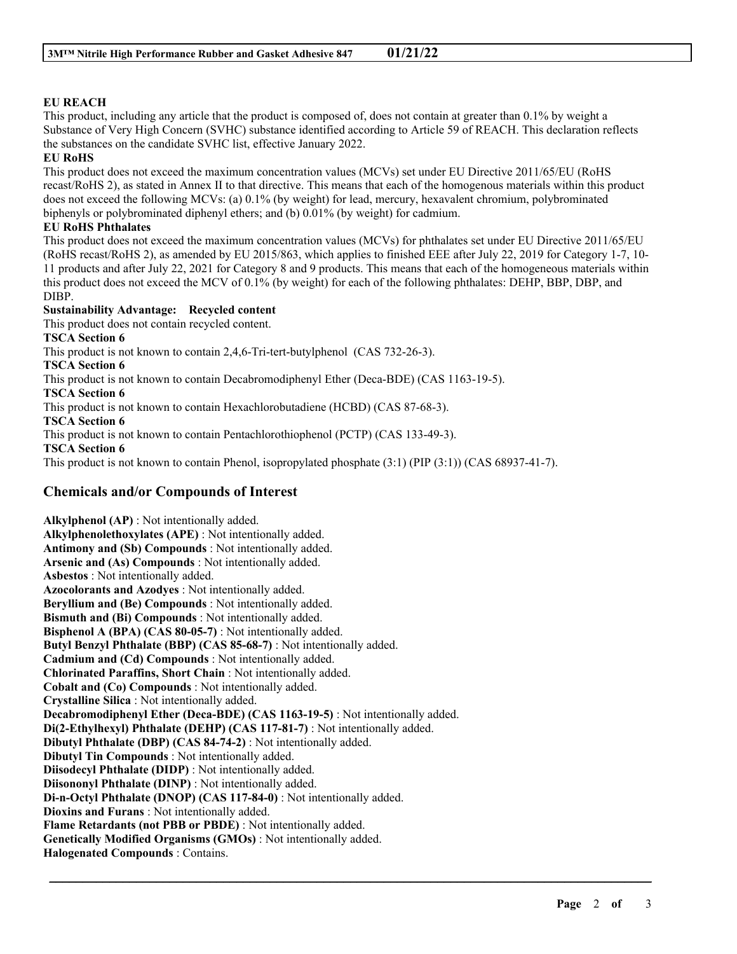## **EU REACH**

This product, including any article that the product is composed of, does not contain at greater than 0.1% by weight a Substance of Very High Concern (SVHC) substance identified according to Article 59 of REACH. This declaration reflects the substances on the candidate SVHC list, effective January 2022.

## **EU RoHS**

This product does not exceed the maximum concentration values (MCVs) set under EU Directive 2011/65/EU (RoHS recast/RoHS 2), as stated in Annex II to that directive. This means that each of the homogenous materials within this product does not exceed the following MCVs: (a) 0.1% (by weight) for lead, mercury, hexavalent chromium, polybrominated biphenyls or polybrominated diphenyl ethers; and (b) 0.01% (by weight) for cadmium.

## **EU RoHS Phthalates**

This product does not exceed the maximum concentration values (MCVs) for phthalates set under EU Directive 2011/65/EU (RoHS recast/RoHS 2), as amended by EU 2015/863, which applies to finished EEE after July 22, 2019 for Category 1-7, 10- 11 products and after July 22, 2021 for Category 8 and 9 products. This means that each of the homogeneous materials within this product does not exceed the MCV of 0.1% (by weight) for each of the following phthalates: DEHP, BBP, DBP, and DIBP.

\_\_\_\_\_\_\_\_\_\_\_\_\_\_\_\_\_\_\_\_\_\_\_\_\_\_\_\_\_\_\_\_\_\_\_\_\_\_\_\_\_\_\_\_\_\_\_\_\_\_\_\_\_\_\_\_\_\_\_\_\_\_\_\_\_\_\_\_\_\_\_\_\_\_\_\_\_\_\_\_\_\_\_\_\_\_\_\_\_\_

## **Sustainability Advantage: Recycled content**

This product does not contain recycled content.

## **TSCA Section 6**

This product is not known to contain 2,4,6-Tri-tert-butylphenol (CAS 732-26-3).

**TSCA Section 6**

This product is not known to contain Decabromodiphenyl Ether (Deca-BDE) (CAS 1163-19-5).

**TSCA Section 6**

This product is not known to contain Hexachlorobutadiene (HCBD) (CAS 87-68-3).

**TSCA Section 6**

This product is not known to contain Pentachlorothiophenol (PCTP) (CAS 133-49-3).

**TSCA Section 6**

This product is not known to contain Phenol, isopropylated phosphate (3:1) (PIP (3:1)) (CAS 68937-41-7).

## **Chemicals and/or Compounds of Interest**

**Alkylphenol (AP)** : Not intentionally added. **Alkylphenolethoxylates (APE)** : Not intentionally added. **Antimony and (Sb) Compounds** : Not intentionally added. **Arsenic and (As) Compounds** : Not intentionally added. **Asbestos** : Not intentionally added. **Azocolorants and Azodyes** : Not intentionally added. **Beryllium and (Be) Compounds** : Not intentionally added. **Bismuth and (Bi) Compounds** : Not intentionally added. **Bisphenol A (BPA) (CAS 80-05-7)** : Not intentionally added. **Butyl Benzyl Phthalate (BBP) (CAS 85-68-7)** : Not intentionally added. **Cadmium and (Cd) Compounds** : Not intentionally added. **Chlorinated Paraffins, Short Chain** : Not intentionally added. **Cobalt and (Co) Compounds** : Not intentionally added. **Crystalline Silica** : Not intentionally added. **Decabromodiphenyl Ether (Deca-BDE) (CAS 1163-19-5)** : Not intentionally added. **Di(2-Ethylhexyl) Phthalate (DEHP) (CAS 117-81-7)** : Not intentionally added. **Dibutyl Phthalate (DBP) (CAS 84-74-2)** : Not intentionally added. **Dibutyl Tin Compounds** : Not intentionally added. **Diisodecyl Phthalate (DIDP)** : Not intentionally added. **Diisononyl Phthalate (DINP)** : Not intentionally added. **Di-n-Octyl Phthalate (DNOP) (CAS 117-84-0)** : Not intentionally added. **Dioxins and Furans** : Not intentionally added. **Flame Retardants (not PBB or PBDE)** : Not intentionally added. **Genetically Modified Organisms (GMOs)** : Not intentionally added. **Halogenated Compounds** : Contains.